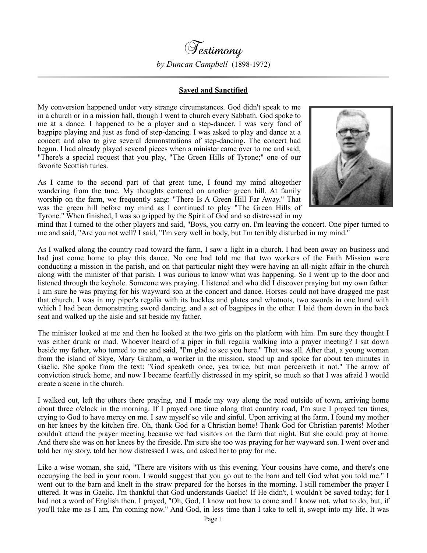

## **Saved and Sanctified**

My conversion happened under very strange circumstances. God didn't speak to me in a church or in a mission hall, though I went to church every Sabbath. God spoke to me at a dance. I happened to be a player and a step-dancer. I was very fond of bagpipe playing and just as fond of step-dancing. I was asked to play and dance at a concert and also to give several demonstrations of step-dancing. The concert had begun. I had already played several pieces when a minister came over to me and said, "There's a special request that you play, "The Green Hills of Tyrone;" one of our favorite Scottish tunes.

As I came to the second part of that great tune, I found my mind altogether wandering from the tune. My thoughts centered on another green hill. At family worship on the farm, we frequently sang: "There Is A Green Hill Far Away." That was the green hill before my mind as I continued to play "The Green Hills of Tyrone." When finished, I was so gripped by the Spirit of God and so distressed in my



mind that I turned to the other players and said, "Boys, you carry on. I'm leaving the concert. One piper turned to me and said, "Are you not well? I said, "I'm very well in body, but I'm terribly disturbed in my mind."

As I walked along the country road toward the farm, I saw a light in a church. I had been away on business and had just come home to play this dance. No one had told me that two workers of the Faith Mission were conducting a mission in the parish, and on that particular night they were having an all-night affair in the church along with the minister of that parish. I was curious to know what was happening. So I went up to the door and listened through the keyhole. Someone was praying. I listened and who did I discover praying but my own father. I am sure he was praying for his wayward son at the concert and dance. Horses could not have dragged me past that church. I was in my piper's regalia with its buckles and plates and whatnots, two swords in one hand with which I had been demonstrating sword dancing. and a set of bagpipes in the other. I laid them down in the back seat and walked up the aisle and sat beside my father.

The minister looked at me and then he looked at the two girls on the platform with him. I'm sure they thought I was either drunk or mad. Whoever heard of a piper in full regalia walking into a prayer meeting? I sat down beside my father, who turned to me and said, "I'm glad to see you here." That was all. After that, a young woman from the island of Skye, Mary Graham, a worker in the mission, stood up and spoke for about ten minutes in Gaelic. She spoke from the text: "God speaketh once, yea twice, but man perceiveth it not." The arrow of conviction struck home, and now I became fearfully distressed in my spirit, so much so that I was afraid I would create a scene in the church.

I walked out, left the others there praying, and I made my way along the road outside of town, arriving home about three o'clock in the morning. If I prayed one time along that country road, I'm sure I prayed ten times, crying to God to have mercy on me. I saw myself so vile and sinful. Upon arriving at the farm, I found my mother on her knees by the kitchen fire. Oh, thank God for a Christian home! Thank God for Christian parents! Mother couldn't attend the prayer meeting because we had visitors on the farm that night. But she could pray at home. And there she was on her knees by the fireside. I'm sure she too was praying for her wayward son. I went over and told her my story, told her how distressed I was, and asked her to pray for me.

Like a wise woman, she said, "There are visitors with us this evening. Your cousins have come, and there's one occupying the bed in your room. I would suggest that you go out to the barn and tell God what you told me." I went out to the barn and knelt in the straw prepared for the horses in the morning. I still remember the prayer I uttered. It was in Gaelic. I'm thankful that God understands Gaelic! If He didn't, I wouldn't be saved today; for I had not a word of English then. I prayed, "Oh, God, I know not how to come and I know not, what to do; but, if you'll take me as I am, I'm coming now." And God, in less time than I take to tell it, swept into my life. It was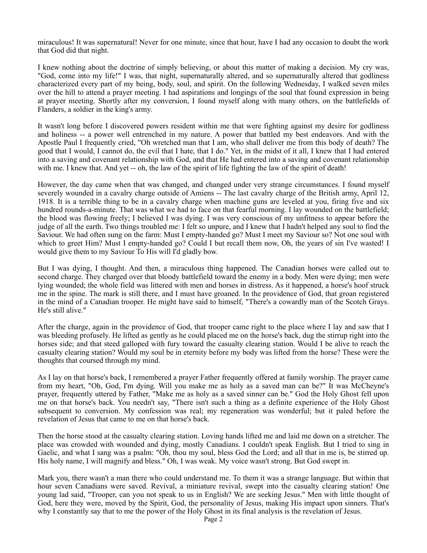miraculous! It was supernatural! Never for one minute, since that hour, have I had any occasion to doubt the work that God did that night.

I knew nothing about the doctrine of simply believing, or about this matter of making a decision. My cry was, "God, come into my life!" I was, that night, supernaturally altered, and so supernaturally altered that godliness characterized every part of my being, body, soul, and spirit. On the following Wednesday, I walked seven miles over the hill to attend a prayer meeting. I had aspirations and longings of the soul that found expression in being at prayer meeting. Shortly after my conversion, I found myself along with many others, on the battlefields of Flanders, a soldier in the king's army.

It wasn't long before I discovered powers resident within me that were fighting against my desire for godliness and holiness -- a power well entrenched in my nature. A power that battled my best endeavors. And with the Apostle Paul I frequently cried, "Oh wretched man that I am, who shall deliver me from this body of death? The good that I would, I cannot do, the evil that I hate, that I do." Yet, in the midst of it all, I knew that I had entered into a saving and covenant relationship with God, and that He had entered into a saving and covenant relationship with me. I knew that. And yet -- oh, the law of the spirit of life fighting the law of the spirit of death!

However, the day came when that was changed, and changed under very strange circumstances. I found myself severely wounded in a cavalry charge outside of Amiens -- The last cavalry charge of the British army, April 12, 1918. It is a terrible thing to be in a cavalry charge when machine guns are leveled at you, firing five and six hundred rounds-a-minute. That was what we had to face on that fearful morning. I lay wounded on the battlefield; the blood was flowing freely; I believed I was dying. I was very conscious of my unfitness to appear before the judge of all the earth. Two things troubled me: I felt so unpure, and I knew that I hadn't helped any soul to find the Saviour. We had often sung on the farm: Must I empty-handed go? Must I meet my Saviour so? Not one soul with which to greet Him? Must I empty-handed go? Could I but recall them now. Oh, the years of sin I've wasted! I would give them to my Saviour To His will I'd gladly bow.

But I was dying, I thought. And then, a miraculous thing happened. The Canadian horses were called out to second charge. They charged over that bloody battlefield toward the enemy in a body. Men were dying; men were lying wounded; the whole field was littered with men and horses in distress. As it happened, a horse's hoof struck me in the spine. The mark is still there, and I must have groaned. In the providence of God, that groan registered in the mind of a Canadian trooper. He might have said to himself, "There's a cowardly man of the Scotch Grays. He's still alive."

After the charge, again in the providence of God, that trooper came right to the place where I lay and saw that I was bleeding profusely. He lifted as gently as he could placed me on the horse's back, dug the stirrup right into the horses side; and that steed galloped with fury toward the casualty clearing station. Would I be alive to reach the casualty clearing station? Would my soul be in eternity before my body was lifted from the horse? These were the thoughts that coursed through my mind.

As I lay on that horse's back, I remembered a prayer Father frequently offered at family worship. The prayer came from my heart, "Oh, God, I'm dying. Will you make me as holy as a saved man can be?" It was McCheyne's prayer, frequently uttered by Father, "Make me as holy as a saved sinner can be." God the Holy Ghost fell upon me on that horse's back. You needn't say, "There isn't such a thing as a definite experience of the Holy Ghost subsequent to conversion. My confession was real; my regeneration was wonderful; but it paled before the revelation of Jesus that came to me on that horse's back.

Then the horse stood at the casualty clearing station. Loving hands lifted me and laid me down on a stretcher. The place was crowded with wounded and dying, mostly Canadians. I couldn't speak English. But I tried to sing in Gaelic, and what I sang was a psalm: "Oh, thou my soul, bless God the Lord; and all that in me is, be stirred up. His holy name, I will magnify and bless." Oh, I was weak. My voice wasn't strong. But God swept in.

Mark you, there wasn't a man there who could understand me. To them it was a strange language. But within that hour seven Canadians were saved. Revival, a miniature revival, swept into the casualty clearing station! One young lad said, "Trooper, can you not speak to us in English? We are seeking Jesus." Men with little thought of God, here they were, moved by the Spirit, God, the personality of Jesus, making His impact upon sinners. That's why I constantly say that to me the power of the Holy Ghost in its final analysis is the revelation of Jesus.